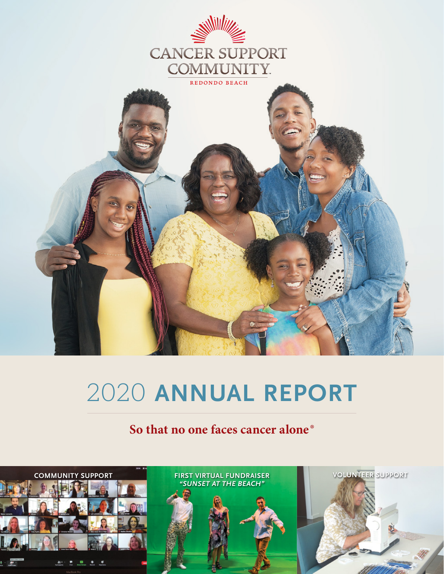



# 2020 **ANNUAL REPORT**

## **So that no one faces cancer alone®**

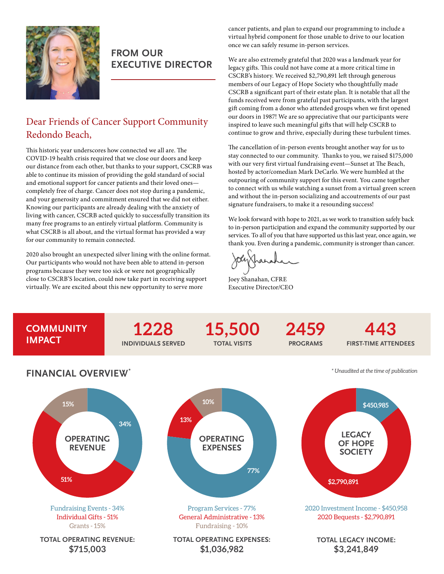

## **FROM OUR EXECUTIVE DIRECTOR**

## Dear Friends of Cancer Support Community Redondo Beach,

This historic year underscores how connected we all are. The COVID-19 health crisis required that we close our doors and keep our distance from each other, but thanks to your support, CSCRB was able to continue its mission of providing the gold standard of social and emotional support for cancer patients and their loved ones completely free of charge. Cancer does not stop during a pandemic, and your generosity and commitment ensured that we did not either. Knowing our participants are already dealing with the anxiety of living with cancer, CSCRB acted quickly to successfully transition its many free programs to an entirely virtual platform. Community is what CSCRB is all about, and the virtual format has provided a way for our community to remain connected.

2020 also brought an unexpected silver lining with the online format. Our participants who would not have been able to attend in-person programs because they were too sick or were not geographically close to CSCRB'S location, could now take part in receiving support virtually. We are excited about this new opportunity to serve more

cancer patients, and plan to expand our programming to include a virtual hybrid component for those unable to drive to our location once we can safely resume in-person services.

We are also extremely grateful that 2020 was a landmark year for legacy gifts. This could not have come at a more critical time in CSCRB's history. We received \$2,790,891 left through generous members of our Legacy of Hope Society who thoughtfully made CSCRB a significant part of their estate plan. It is notable that all the funds received were from grateful past participants, with the largest gift coming from a donor who attended groups when we first opened our doors in 1987! We are so appreciative that our participants were inspired to leave such meaningful gifts that will help CSCRB to continue to grow and thrive, especially during these turbulent times.

The cancellation of in-person events brought another way for us to stay connected to our community. Thanks to you, we raised \$175,000 with our very first virtual fundraising event—Sunset at The Beach, hosted by actor/comedian Mark DeCarlo. We were humbled at the outpouring of community support for this event. You came together to connect with us while watching a sunset from a virtual green screen and without the in-person socializing and accoutrements of our past signature fundraisers, to make it a resounding success!

We look forward with hope to 2021, as we work to transition safely back to in-person participation and expand the community supported by our services. To all of you that have supported us this last year, once again, we thank you. Even during a pandemic, community is stronger than cancer.

Joey Shanahan, CFRE Executive Director/CEO

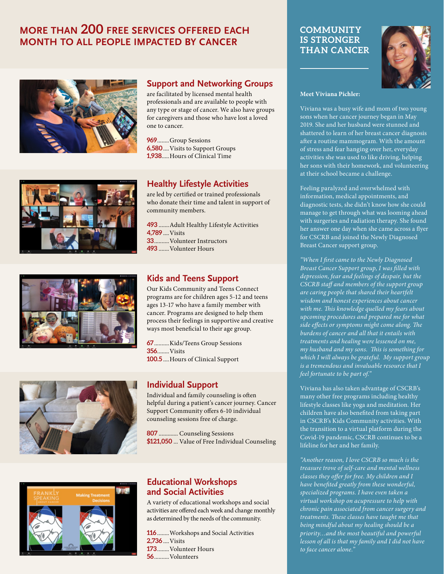## **MORE THAN 200 FREE SERVICES OFFERED EACH MONTH TO ALL PEOPLE IMPACTED BY CANCER**









#### **Support and Networking Groups**

are facilitated by licensed mental health professionals and are available to people with any type or stage of cancer. We also have groups for caregivers and those who have lost a loved one to cancer.

**969**........Group Sessions **6,580**....Visits to Support Groups **1,938**.....Hours of Clinical Time

### **Healthy Lifestyle Activities**

are led by certified or trained professionals who donate their time and talent in support of community members.

 .......Adult Healthy Lifestyle Activities **4,789** ....Visits ..........Volunteer Instructors .......Volunteer Hours

#### **Kids and Teens Support**

Our Kids Community and Teens Connect programs are for children ages 5-12 and teens ages 13-17 who have a family member with cancer. Programs are designed to help them process their feelings in supportive and creative ways most beneficial to their age group.

**67**..........Kids/Teens Group Sessions **356**........Visits **100.5** ....Hours of Clinical Support

#### **Individual Support**

Individual and family counseling is often helpful during a patient's cancer journey. Cancer Support Community offers 6-10 individual counseling sessions free of charge.

**807** ............. Counseling Sessions **\$121,050** ... Value of Free Individual Counseling



#### **Educational Workshops and Social Activities**

A variety of educational workshops and social activities are offered each week and change monthly as determined by the needs of the community.

........Workshops and Social Activities **2,736** ....Visits ........Volunteer Hours ..........Volunteers

#### **COMMUNITY IS STRONGER THAN CANCER**



#### **Meet Viviana Pichler:**

Viviana was a busy wife and mom of two young sons when her cancer journey began in May 2019. She and her husband were stunned and shattered to learn of her breast cancer diagnosis after a routine mammogram. With the amount of stress and fear hanging over her, everyday activities she was used to like driving, helping her sons with their homework, and volunteering at their school became a challenge.

Feeling paralyzed and overwhelmed with information, medical appointments, and diagnostic tests, she didn't know how she could manage to get through what was looming ahead with surgeries and radiation therapy. She found her answer one day when she came across a flyer for CSCRB and joined the Newly Diagnosed Breast Cancer support group.

*"When I first came to the Newly Diagnosed Breast Cancer Support group, I was filled with depression, fear and feelings of despair, but the CSCRB staff and members of the support group are caring people that shared their heartfelt wisdom and honest experiences about cancer with me. This knowledge quelled my fears about upcoming procedures and prepared me for what side effects or symptoms might come along. The burdens of cancer and all that it entails with treatments and healing were lessened on me, my husband and my sons. This is something for which I will always be grateful. My support group is a tremendous and invaluable resource that I feel fortunate to be part of."*

Viviana has also taken advantage of CSCRB's many other free programs including healthy lifestyle classes like yoga and meditation. Her children have also benefited from taking part in CSCRB's Kids Community activities. With the transition to a virtual platform during the Covid-19 pandemic, CSCRB continues to be a lifeline for her and her family.

*"Another reason, I love CSCRB so much is the treasure trove of self-care and mental wellness classes they offer for free. My children and I have benefited greatly from these wonderful, specialized programs. I have even taken a virtual workshop on acupressure to help with chronic pain associated from cancer surgery and treatments. These classes have taught me that being mindful about my healing should be a priority…and the most beautiful and powerful lesson of all is that my family and I did not have to face cancer alone."*